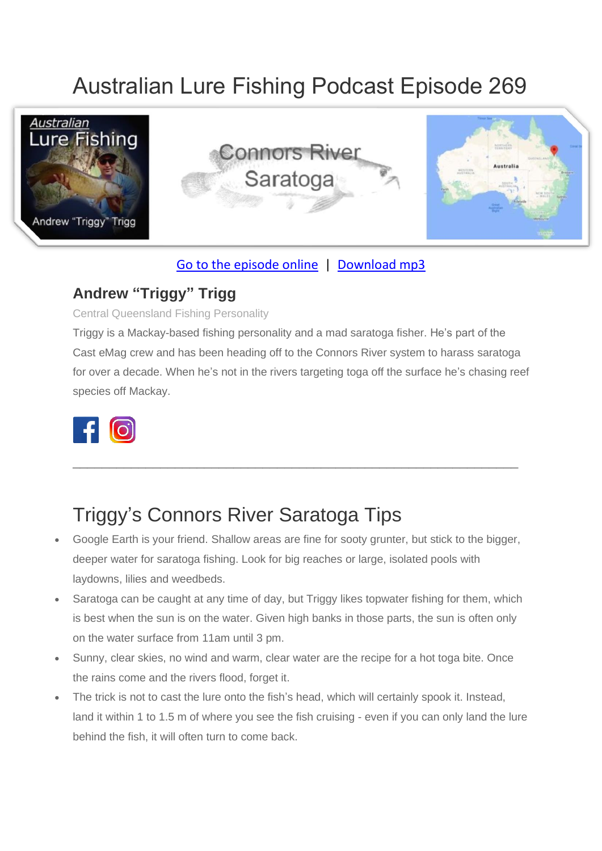# Australian Lure Fishing Podcast Episode 269



#### [Go to the episode online](https://doclures.com/cambridge-gulf-barramundi-dick-pasfield/) | [Download mp3](https://traffic.libsyn.com/secure/doclures/cambridge-gulf-barramundi-dick-pasfield.mp3)

#### **Andrew "Triggy" Trigg**

Central Queensland Fishing Personality

Triggy is a Mackay-based fishing personality and a mad saratoga fisher. He's part of the Cast eMag crew and has been heading off to the Connors River system to harass saratoga for over a decade. When he's not in the rivers targeting toga off the surface he's chasing reef species off Mackay.

\_\_\_\_\_\_\_\_\_\_\_\_\_\_\_\_\_\_\_\_\_\_\_\_\_\_\_\_\_\_\_\_\_\_\_\_\_\_\_\_\_\_\_\_\_\_\_\_\_\_\_\_\_\_\_\_\_\_\_\_\_



### Triggy's Connors River Saratoga Tips

- Google Earth is your friend. Shallow areas are fine for sooty grunter, but stick to the bigger, deeper water for saratoga fishing. Look for big reaches or large, isolated pools with laydowns, lilies and weedbeds.
- Saratoga can be caught at any time of day, but Triggy likes topwater fishing for them, which is best when the sun is on the water. Given high banks in those parts, the sun is often only on the water surface from 11am until 3 pm.
- Sunny, clear skies, no wind and warm, clear water are the recipe for a hot toga bite. Once the rains come and the rivers flood, forget it.
- The trick is not to cast the lure onto the fish's head, which will certainly spook it. Instead, land it within 1 to 1.5 m of where you see the fish cruising - even if you can only land the lure behind the fish, it will often turn to come back.